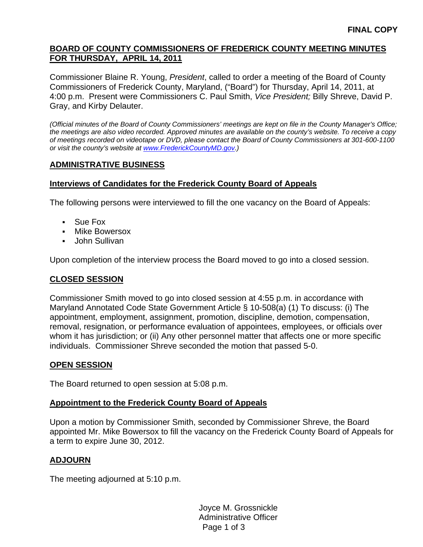## **BOARD OF COUNTY COMMISSIONERS OF FREDERICK COUNTY MEETING MINUTES FOR THURSDAY, APRIL 14, 2011**

Commissioner Blaine R. Young, *President*, called to order a meeting of the Board of County Commissioners of Frederick County, Maryland, ("Board") for Thursday, April 14, 2011, at 4:00 p.m. Present were Commissioners C. Paul Smith, *Vice President;* Billy Shreve, David P. Gray, and Kirby Delauter.

*(Official minutes of the Board of County Commissioners' meetings are kept on file in the County Manager's Office; the meetings are also video recorded. Approved minutes are available on the county's website. To receive a copy of meetings recorded on videotape or DVD, please contact the Board of County Commissioners at 301-600-1100 or visit the county's website at [www.FrederickCountyMD.gov.](http://www.frederickcountymd.gov/))* 

# **ADMINISTRATIVE BUSINESS**

## **Interviews of Candidates for the Frederick County Board of Appeals**

The following persons were interviewed to fill the one vacancy on the Board of Appeals:

- Sue Fox
- **Nike Bowersox**
- John Sullivan

Upon completion of the interview process the Board moved to go into a closed session.

# **CLOSED SESSION**

Commissioner Smith moved to go into closed session at 4:55 p.m. in accordance with Maryland Annotated Code State Government Article § 10-508(a) (1) To discuss: (i) The appointment, employment, assignment, promotion, discipline, demotion, compensation, removal, resignation, or performance evaluation of appointees, employees, or officials over whom it has jurisdiction; or (ii) Any other personnel matter that affects one or more specific individuals. Commissioner Shreve seconded the motion that passed 5-0.

## **OPEN SESSION**

The Board returned to open session at 5:08 p.m.

## **Appointment to the Frederick County Board of Appeals**

Upon a motion by Commissioner Smith, seconded by Commissioner Shreve, the Board appointed Mr. Mike Bowersox to fill the vacancy on the Frederick County Board of Appeals for a term to expire June 30, 2012.

## **ADJOURN**

The meeting adjourned at 5:10 p.m.

Page 1 of 3 Joyce M. Grossnickle Administrative Officer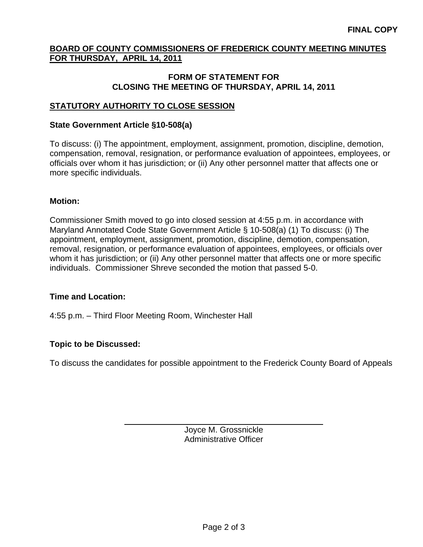## **BOARD OF COUNTY COMMISSIONERS OF FREDERICK COUNTY MEETING MINUTES FOR THURSDAY, APRIL 14, 2011**

#### **FORM OF STATEMENT FOR CLOSING THE MEETING OF THURSDAY, APRIL 14, 2011**

# **STATUTORY AUTHORITY TO CLOSE SESSION**

#### **State Government Article §10-508(a)**

To discuss: (i) The appointment, employment, assignment, promotion, discipline, demotion, compensation, removal, resignation, or performance evaluation of appointees, employees, or officials over whom it has jurisdiction; or (ii) Any other personnel matter that affects one or more specific individuals.

#### **Motion:**

Commissioner Smith moved to go into closed session at 4:55 p.m. in accordance with Maryland Annotated Code State Government Article § 10-508(a) (1) To discuss: (i) The appointment, employment, assignment, promotion, discipline, demotion, compensation, removal, resignation, or performance evaluation of appointees, employees, or officials over whom it has jurisdiction; or (ii) Any other personnel matter that affects one or more specific individuals. Commissioner Shreve seconded the motion that passed 5-0.

## **Time and Location:**

4:55 p.m. – Third Floor Meeting Room, Winchester Hall

## **Topic to be Discussed:**

 $\overline{a}$ 

To discuss the candidates for possible appointment to the Frederick County Board of Appeals

Joyce M. Grossnickle Administrative Officer